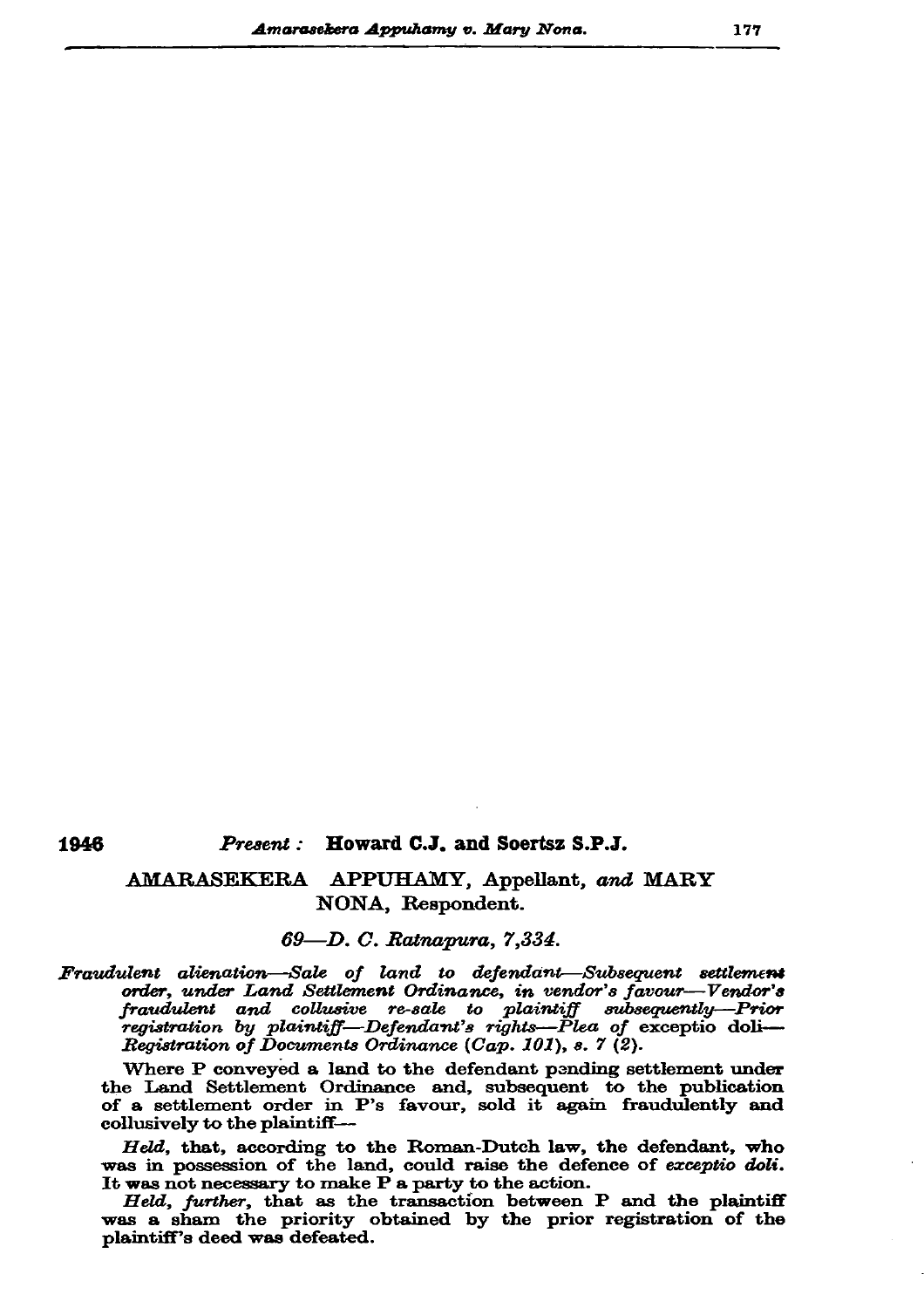## 1946

#### Howard C.J. and Soertsz S.P.J. Present :

# AMARASEKERA APPUHAMY, Appellant, and MARY NONA, Respondent.

## 69-D. C. Ratnapura, 7,334.

Fraudulent alienation-Sale of land to defendant-Subsequent settlement order, under Land Settlement Ordinance, in vendor's favour-Vendor's fraudulent and collusive re-sale to plaintiff subsequently—Prior<br>registration by plaintiff—Defendant's rights—Plea of exceptio doli-Registration of Documents Ordinance (Cap. 101), s. 7 (2).

Where P conveyed a land to the defendant pending settlement under the Land Settlement Ordinance and, subsequent to the publication of a settlement order in P's favour, sold it again fraudulently and collusively to the plaintiff-

Held, that, according to the Roman-Dutch law, the defendant, who was in possession of the land, could raise the defence of exceptio doli. It was not necessary to make P a party to the action.

Held, further, that as the transaction between P and the plaintiff was a sham the priority obtained by the prior registration of the plaintiff's deed was defeated.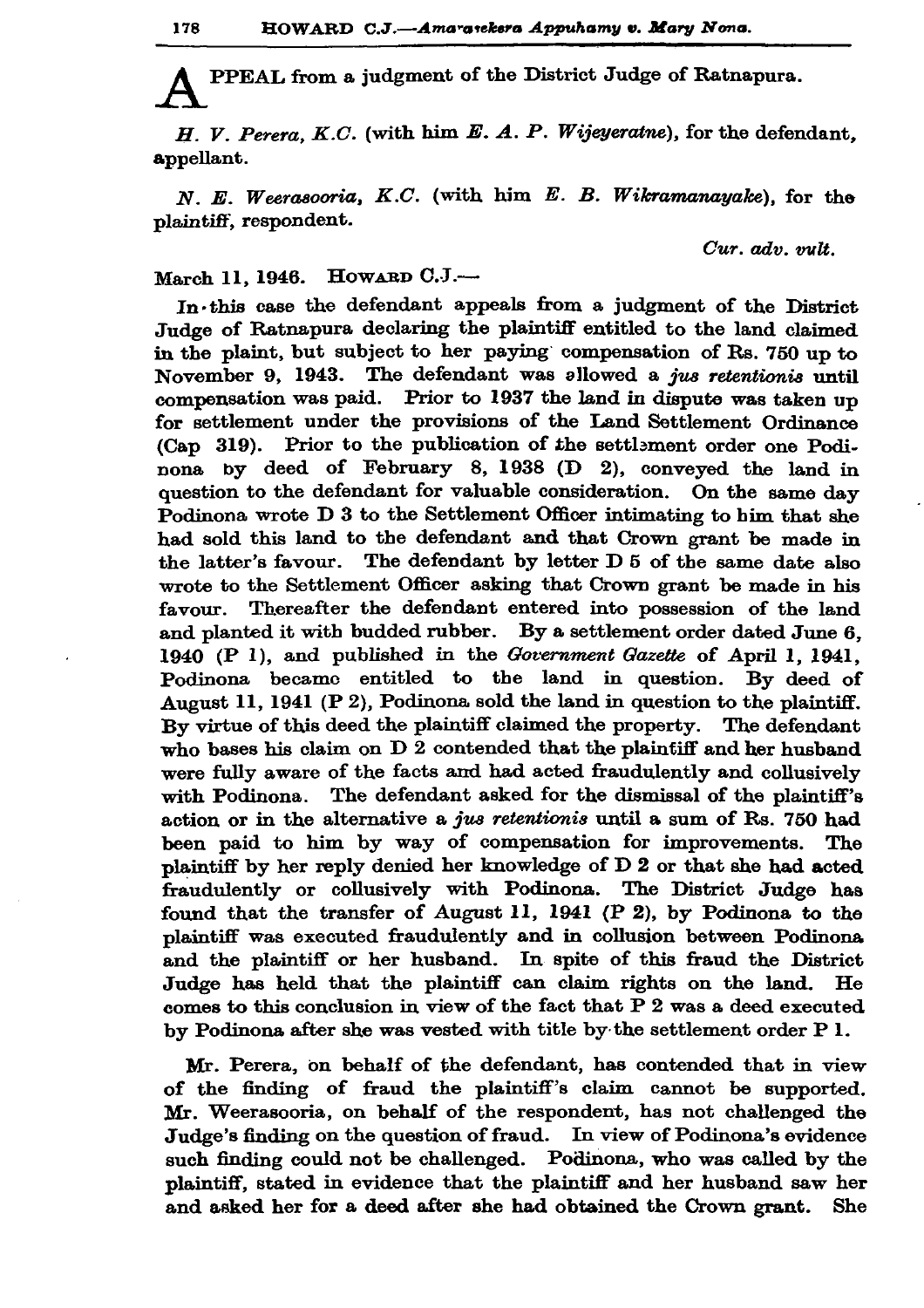PPEAL from a judgment of the District Judge of Ratnapura.

 $H. V. Perera, K.C.$  (with him  $E. A. P. Wijeyeratne$ ), for the defendant. appellant.

 $N. E. Weerasooria, K.C.$  (with him  $E. B. Wikramanayake$ ), for the plaintiff, respondent.

Cur. adv. vult.

### HOWARD C.J.-March 11, 1946.

In this case the defendant appeals from a judgment of the District Judge of Ratnapura declaring the plaintiff entitled to the land claimed in the plaint, but subject to her paying compensation of Rs. 750 up to November 9, 1943. The defendant was allowed a jus retentionis until compensation was paid. Prior to 1937 the land in dispute was taken up for settlement under the provisions of the Land Settlement Ordinance (Cap 319). Prior to the publication of the settlement order one Podinona by deed of February 8, 1938 (D 2), conveyed the land in question to the defendant for valuable consideration. On the same day Podinona wrote D 3 to the Settlement Officer intimating to him that she had sold this land to the defendant and that Crown grant be made in the latter's favour. The defendant by letter D 5 of the same date also wrote to the Settlement Officer asking that Crown grant be made in his favour. Thereafter the defendant entered into possession of the land and planted it with budded rubber. By a settlement order dated June 6. 1940 (P 1), and published in the Government Gazette of April 1, 1941, Podinona became entitled to the land in question. By deed of August 11, 1941 (P 2), Podinona sold the land in question to the plaintiff. By virtue of this deed the plaintiff claimed the property. The defendant who bases his claim on  $D$  2 contended that the plaintiff and her husband were fully aware of the facts and had acted fraudulently and collusively with Podinona. The defendant asked for the dismissal of the plaintiff's action or in the alternative a jus retentionis until a sum of Rs. 750 had been paid to him by way of compensation for improvements. The plaintiff by her reply denied her knowledge of D 2 or that she had acted fraudulently or collusively with Podinona. The District Judge has found that the transfer of August 11, 1941 (P 2), by Podinona to the plaintiff was executed fraudulently and in collusion between Podinona and the plaintiff or her husband. In spite of this fraud the District Judge has held that the plaintiff can claim rights on the land. He comes to this conclusion in view of the fact that  $P$  2 was a deed executed by Podinona after she was vested with title by the settlement order P 1.

Mr. Perera, on behalf of the defendant, has contended that in view of the finding of fraud the plaintiff's claim cannot be supported. Mr. Weerasooria, on behalf of the respondent, has not challenged the Judge's finding on the question of fraud. In view of Podinona's evidence such finding could not be challenged. Podinona, who was called by the plaintiff, stated in evidence that the plaintiff and her husband saw her and asked her for a deed after she had obtained the Crown grant.  $She$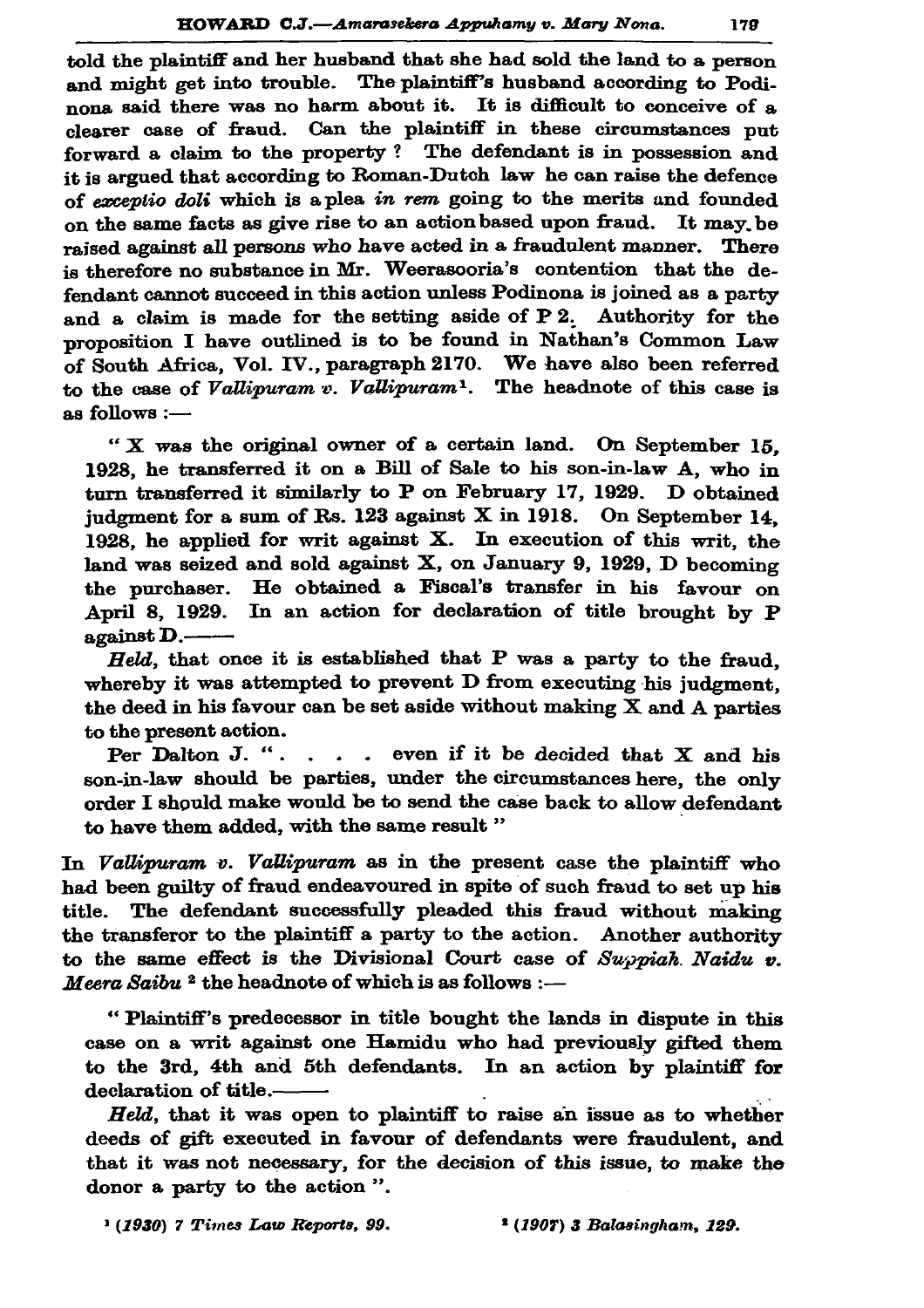told the plaintiff and her husband that she had sold the land to a person and might get into trouble. The plaintiff's husband according to Podinona said there was no harm about it. It is difficult to conceive of a clearer case of fraud. Can the plaintiff in these circumstances put forward a claim to the property? The defendant is in possession and it is argued that according to Roman-Dutch law he can raise the defence of exceptio doli which is a plea in rem going to the merits and founded on the same facts as give rise to an action based upon fraud. It may be raised against all persons who have acted in a fraudulent manner. There is therefore no substance in Mr. Weerasooria's contention that the defendant cannot succeed in this action unless Podinona is joined as a party and a claim is made for the setting aside of P2. Authority for the proposition I have outlined is to be found in Nathan's Common Law of South Africa, Vol. IV., paragraph 2170. We have also been referred to the case of Vallipuram  $\overline{v}$ . Vallipuram<sup>1</sup>. The headnote of this case is as follows :-

" X was the original owner of a certain land. On September 15. 1928, he transferred it on a Bill of Sale to his son-in-law A, who in turn transferred it similarly to P on February 17, 1929. D obtained iudgment for a sum of Rs. 123 against  $X$  in 1918. On September 14. 1928, he applied for writ against  $X$ . In execution of this writ, the land was seized and sold against X, on January 9, 1929, D becoming the purchaser. He obtained a Fiscal's transfer in his favour on April 8, 1929. In an action for declaration of title brought by P against D.-

Held, that once it is established that P was a party to the fraud. whereby it was attempted to prevent D from executing his judgment. the deed in his favour can be set aside without making  $X$  and  $A$  parties to the present action.

Per Dalton J. " $\ldots$  even if it be decided that X and his son-in-law should be parties, under the circumstances here, the only order I should make would be to send the case back to allow defendant to have them added, with the same result"

In Vallipuram v. Vallipuram as in the present case the plaintiff who had been guilty of fraud endeavoured in spite of such fraud to set up his title. The defendant successfully pleaded this fraud without making the transferor to the plaintiff a party to the action. Another authority to the same effect is the Divisional Court case of Suppiah Naidu  $v$ . Meera Saibu<sup>2</sup> the headnote of which is as follows :-

"Plaintiff's predecessor in title bought the lands in dispute in this case on a writ against one Hamidu who had previously gifted them to the 3rd, 4th and 5th defendants. In an action by plaintiff for declaration of title.-

Held, that it was open to plaintiff to raise an issue as to whether deeds of gift executed in favour of defendants were fraudulent, and that it was not necessary, for the decision of this issue, to make the donor a party to the action".

<sup>&</sup>lt;sup>1</sup> (1930) 7 Times Law Reports, 99.